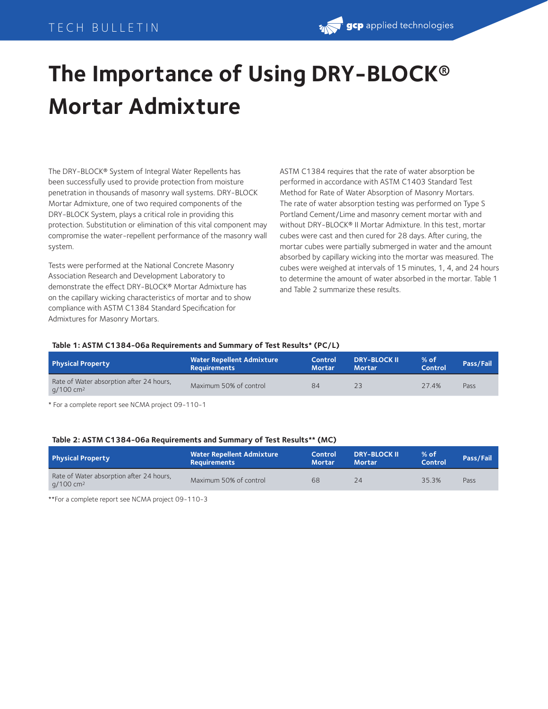## TECH BULLETIN

# **The Importance of Using DRY-BLOCK® Mortar Admixture**

The DRY-BLOCK® System of Integral Water Repellents has been successfully used to provide protection from moisture penetration in thousands of masonry wall systems. DRY-BLOCK Mortar Admixture, one of two required components of the DRY-BLOCK System, plays a critical role in providing this protection. Substitution or elimination of this vital component may compromise the water-repellent performance of the masonry wall system.

Tests were performed at the National Concrete Masonry Association Research and Development Laboratory to demonstrate the effect DRY-BLOCK® Mortar Admixture has on the capillary wicking characteristics of mortar and to show compliance with ASTM C1384 Standard Specification for Admixtures for Masonry Mortars.

ASTM C1384 requires that the rate of water absorption be performed in accordance with ASTM C1403 Standard Test Method for Rate of Water Absorption of Masonry Mortars. The rate of water absorption testing was performed on Type S Portland Cement/Lime and masonry cement mortar with and without DRY-BLOCK® II Mortar Admixture. In this test, mortar cubes were cast and then cured for 28 days. After curing, the mortar cubes were partially submerged in water and the amount absorbed by capillary wicking into the mortar was measured. The cubes were weighed at intervals of 15 minutes, 1, 4, and 24 hours to determine the amount of water absorbed in the mortar. Table 1 and Table 2 summarize these results.

#### **Table 1: ASTM C1384-06a Requirements and Summary of Test Results\* (PC/L)**

| Physical Property                                                   | <b>Water Repellent Admixture</b><br><b>Requirements</b> | Control<br><b>Mortar</b> | <b>DRY-BLOCK II</b><br><b>Mortar</b> | $%$ of<br><b>Control</b> | Pass/Fail |
|---------------------------------------------------------------------|---------------------------------------------------------|--------------------------|--------------------------------------|--------------------------|-----------|
| Rate of Water absorption after 24 hours,<br>$q/100$ cm <sup>2</sup> | Maximum 50% of control                                  | 84                       | 23                                   | 27.4%                    | Pass      |
|                                                                     |                                                         |                          |                                      |                          |           |

\* For a complete report see NCMA project 09-110-1

#### **Table 2: ASTM C1384-06a Requirements and Summary of Test Results\*\* (MC)**

| <b>Physical Property</b>                                          | <b>Water Repellent Admixture</b><br><b>Requirements</b> | Control<br><b>Mortar</b> | <b>DRY-BLOCK II</b><br><b>Mortar</b> | $%$ of<br>Control | Pass/Fail |
|-------------------------------------------------------------------|---------------------------------------------------------|--------------------------|--------------------------------------|-------------------|-----------|
| Rate of Water absorption after 24 hours,<br>g/100 cm <sup>2</sup> | Maximum 50% of control                                  | 68                       | 24                                   | 35.3%             | Pass      |

\*\*For a complete report see NCMA project 09-110-3